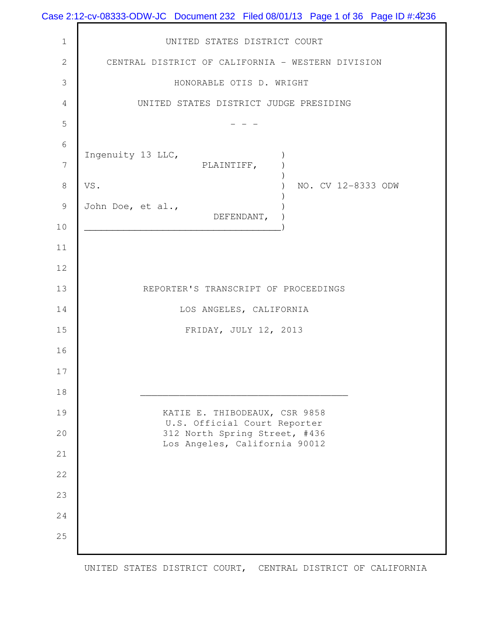|                | Case 2:12-cv-08333-ODW-JC Document 232 Filed 08/01/13 Page 1 of 36 Page ID #:4236 |
|----------------|-----------------------------------------------------------------------------------|
| $\mathbf 1$    | UNITED STATES DISTRICT COURT                                                      |
| $\mathbf{2}$   | CENTRAL DISTRICT OF CALIFORNIA - WESTERN DIVISION                                 |
| $\mathfrak{Z}$ | HONORABLE OTIS D. WRIGHT                                                          |
| $\overline{4}$ | UNITED STATES DISTRICT JUDGE PRESIDING                                            |
| 5              |                                                                                   |
| $\sqrt{6}$     |                                                                                   |
| $\overline{7}$ | Ingenuity 13 LLC,<br>PLAINTIFF,                                                   |
| $\,8\,$        | VS.<br>NO. CV 12-8333 ODW                                                         |
| $\mathcal{G}$  | John Doe, et al.,<br>DEFENDANT,                                                   |
| $10$           | <u> 1989 - Johann Barbara, martin d</u>                                           |
| 11             |                                                                                   |
| 12             |                                                                                   |
| 13             | REPORTER'S TRANSCRIPT OF PROCEEDINGS                                              |
| 14             | LOS ANGELES, CALIFORNIA                                                           |
| 15             | FRIDAY, JULY 12, 2013                                                             |
| 16             |                                                                                   |
| 17             |                                                                                   |
| 18             |                                                                                   |
| 19             | KATIE E. THIBODEAUX, CSR 9858<br>U.S. Official Court Reporter                     |
| 20             | 312 North Spring Street, #436<br>Los Angeles, California 90012                    |
| 21             |                                                                                   |
| 22             |                                                                                   |
| 23             |                                                                                   |
| 24             |                                                                                   |
| 25             |                                                                                   |
|                |                                                                                   |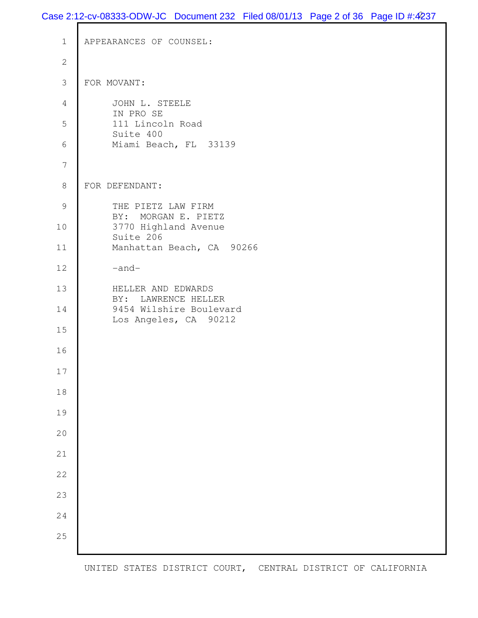## Case 2:12-cv-08333-ODW-JC Document 232 Filed 08/01/13 Page 2 of 36 Page ID #:4237

```
 1 APPEARANCES OF COUNSEL:
  2
  3 FOR MOVANT: 
  4 JOHN L. STEELE 
          IN PRO SE 
  5 111 Lincoln Road 
          Suite 400 
  6 Miami Beach, FL 33139 
  7 
  8 FOR DEFENDANT: 
9 THE PIETZ LAW FIRM
          BY: MORGAN E. PIETZ 
10 3770 Highland Avenue 
          Suite 206 
11 Manhattan Beach, CA 90266
12 -and-13 HELLER AND EDWARDS 
          BY: LAWRENCE HELLER 
14 9454 Wilshire Boulevard 
          Los Angeles, CA 90212 
15
16
17
18
19
20
21
22
23
24
25
```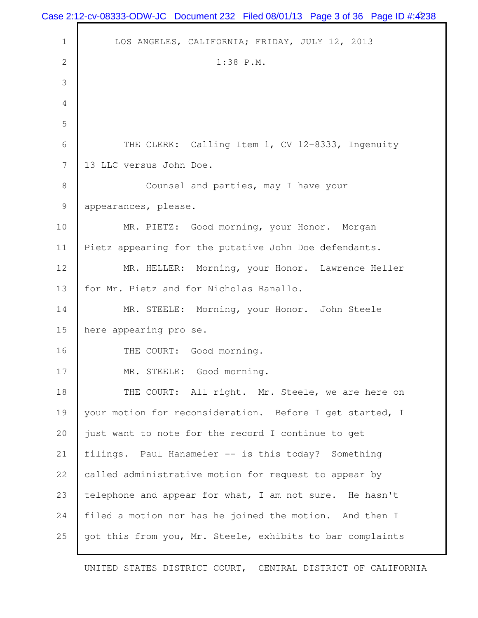|                | Case 2:12-cv-08333-ODW-JC Document 232 Filed 08/01/13 Page 3 of 36 Page ID #:4238 |
|----------------|-----------------------------------------------------------------------------------|
| $\mathbf 1$    | LOS ANGELES, CALIFORNIA; FRIDAY, JULY 12, 2013                                    |
| $\overline{2}$ | 1:38 P.M.                                                                         |
| 3              |                                                                                   |
| 4              |                                                                                   |
| 5              |                                                                                   |
| 6              | THE CLERK: Calling Item 1, CV 12-8333, Ingenuity                                  |
| 7              | 13 LLC versus John Doe.                                                           |
| $\,8\,$        | Counsel and parties, may I have your                                              |
| $\mathcal{G}$  | appearances, please.                                                              |
| 10             | MR. PIETZ: Good morning, your Honor. Morgan                                       |
| 11             | Pietz appearing for the putative John Doe defendants.                             |
| 12             | MR. HELLER: Morning, your Honor. Lawrence Heller                                  |
| 13             | for Mr. Pietz and for Nicholas Ranallo.                                           |
| 14             | MR. STEELE: Morning, your Honor. John Steele                                      |
| 15             | here appearing pro se.                                                            |
| 16             | THE COURT: Good morning.                                                          |
| 17             | MR. STEELE: Good morning.                                                         |
| 18             | THE COURT: All right. Mr. Steele, we are here on                                  |
| 19             | your motion for reconsideration. Before I get started, I                          |
| 20             | just want to note for the record I continue to get                                |
| 21             | filings. Paul Hansmeier -- is this today? Something                               |
| 22             | called administrative motion for request to appear by                             |
| 23             | telephone and appear for what, I am not sure. He hasn't                           |
| 24             | filed a motion nor has he joined the motion. And then I                           |
| 25             | got this from you, Mr. Steele, exhibits to bar complaints                         |
|                |                                                                                   |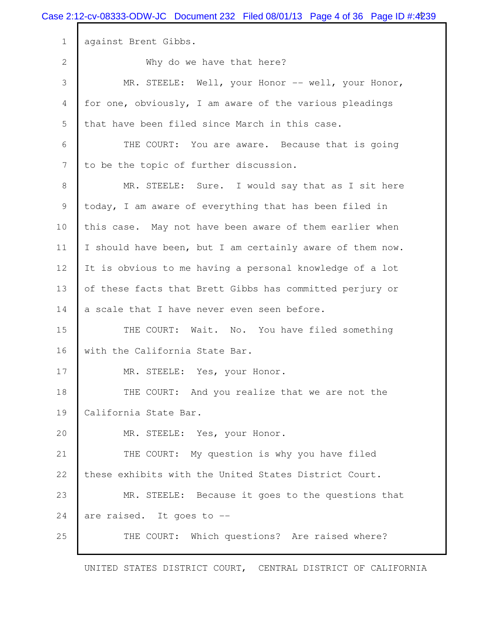|                  | Case 2:12-cv-08333-ODW-JC Document 232 Filed 08/01/13 Page 4 of 36 Page ID #:4239 |
|------------------|-----------------------------------------------------------------------------------|
| $\mathbf 1$      | against Brent Gibbs.                                                              |
| $\mathbf{2}$     | Why do we have that here?                                                         |
| $\mathcal{S}$    | MR. STEELE: Well, your Honor -- well, your Honor,                                 |
| $\overline{4}$   | for one, obviously, I am aware of the various pleadings                           |
| $\mathsf S$      | that have been filed since March in this case.                                    |
| 6                | THE COURT: You are aware. Because that is going                                   |
| $\boldsymbol{7}$ | to be the topic of further discussion.                                            |
| $\,8\,$          | MR. STEELE: Sure. I would say that as I sit here                                  |
| $\mathcal{G}$    | today, I am aware of everything that has been filed in                            |
| 10               | this case. May not have been aware of them earlier when                           |
| 11               | I should have been, but I am certainly aware of them now.                         |
| 12               | It is obvious to me having a personal knowledge of a lot                          |
| 13               | of these facts that Brett Gibbs has committed perjury or                          |
| 14               | a scale that I have never even seen before.                                       |
| 15               | THE COURT: Wait. No. You have filed something                                     |
| 16               | with the California State Bar.                                                    |
| 17               | MR. STEELE: Yes, your Honor.                                                      |
| 18               | THE COURT: And you realize that we are not the                                    |
| 19               | California State Bar.                                                             |
| 20               | MR. STEELE: Yes, your Honor.                                                      |
| 21               | THE COURT: My question is why you have filed                                      |
| 22               | these exhibits with the United States District Court.                             |
| 23               | MR. STEELE: Because it goes to the questions that                                 |
| 24               | are raised. It goes to --                                                         |
| 25               | THE COURT: Which questions? Are raised where?                                     |
|                  |                                                                                   |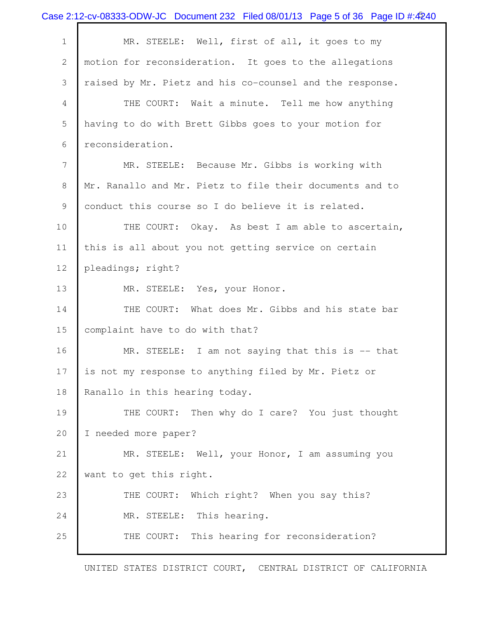|                | Case 2:12-cv-08333-ODW-JC Document 232 Filed 08/01/13 Page 5 of 36 Page ID #:4240 |
|----------------|-----------------------------------------------------------------------------------|
| $\mathbf 1$    | MR. STEELE: Well, first of all, it goes to my                                     |
| $\mathbf{2}$   | motion for reconsideration. It goes to the allegations                            |
| 3              | raised by Mr. Pietz and his co-counsel and the response.                          |
| 4              | THE COURT: Wait a minute. Tell me how anything                                    |
| 5              | having to do with Brett Gibbs goes to your motion for                             |
| 6              | reconsideration.                                                                  |
| $\overline{7}$ | MR. STEELE: Because Mr. Gibbs is working with                                     |
| 8              | Mr. Ranallo and Mr. Pietz to file their documents and to                          |
| 9              | conduct this course so I do believe it is related.                                |
| 10             | THE COURT: Okay. As best I am able to ascertain,                                  |
| 11             | this is all about you not getting service on certain                              |
| 12             | pleadings; right?                                                                 |
| 13             | MR. STEELE: Yes, your Honor.                                                      |
| 14             | THE COURT: What does Mr. Gibbs and his state bar                                  |
| 15             | complaint have to do with that?                                                   |
| 16             | MR. STEELE: I am not saying that this is -- that                                  |
| 17             | is not my response to anything filed by Mr. Pietz or                              |
| 18             | Ranallo in this hearing today.                                                    |
| 19             | THE COURT: Then why do I care? You just thought                                   |
| 20             | I needed more paper?                                                              |
| 21             | MR. STEELE: Well, your Honor, I am assuming you                                   |
| 22             | want to get this right.                                                           |
| 23             | THE COURT: Which right? When you say this?                                        |
| 24             | MR. STEELE: This hearing.                                                         |
| 25             | This hearing for reconsideration?<br>THE COURT:                                   |
|                |                                                                                   |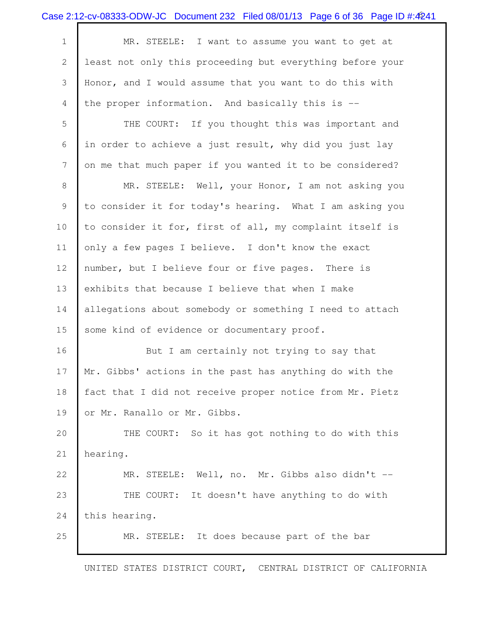| Case 2:12-cv-08333-ODW-JC Document 232 Filed 08/01/13 Page 6 of 36 Page ID #:4241 |  |  |
|-----------------------------------------------------------------------------------|--|--|
|                                                                                   |  |  |

| $1 \mid$ | MR. STEELE: I want to assume you want to get at             |
|----------|-------------------------------------------------------------|
|          | 2 least not only this proceeding but everything before your |
|          | 3 Honor, and I would assume that you want to do this with   |
|          | 4 the proper information. And basically this is --          |

5 THE COURT: If you thought this was important and 6 in order to achieve a just result, why did you just lay 7 on me that much paper if you wanted it to be considered?

8 MR. STEELE: Well, your Honor, I am not asking you 9 to consider it for today's hearing. What I am asking you 10 to consider it for, first of all, my complaint itself is 11 only a few pages I believe. I don't know the exact 12 number, but I believe four or five pages. There is 13 exhibits that because I believe that when I make 14 allegations about somebody or something I need to attach 15 some kind of evidence or documentary proof.

16 But I am certainly not trying to say that 17 Mr. Gibbs' actions in the past has anything do with the 18 fact that I did not receive proper notice from Mr. Pietz 19 or Mr. Ranallo or Mr. Gibbs.

20 THE COURT: So it has got nothing to do with this 21 hearing.

22 MR. STEELE: Well, no. Mr. Gibbs also didn't --23 THE COURT: It doesn't have anything to do with 24 this hearing.

25 MR. STEELE: It does because part of the bar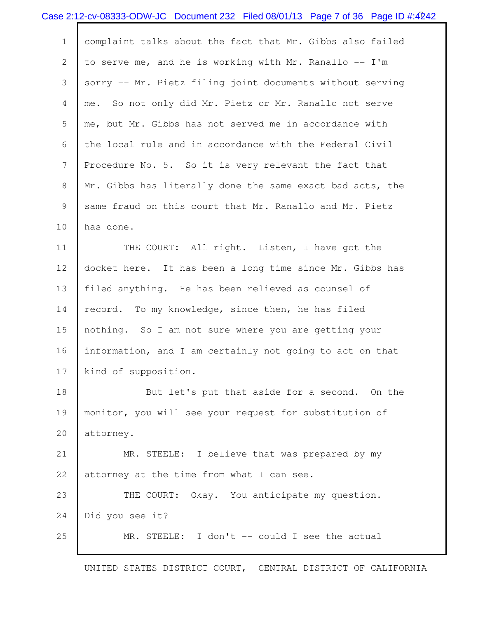|                | Case 2:12-cv-08333-ODW-JC Document 232 Filed 08/01/13 Page 7 of 36 Page ID #:4242 |
|----------------|-----------------------------------------------------------------------------------|
| $\mathbf 1$    | complaint talks about the fact that Mr. Gibbs also failed                         |
| $\mathbf{2}$   | to serve me, and he is working with Mr. Ranallo -- I'm                            |
| 3              | sorry -- Mr. Pietz filing joint documents without serving                         |
| $\overline{4}$ | me. So not only did Mr. Pietz or Mr. Ranallo not serve                            |
| 5              | me, but Mr. Gibbs has not served me in accordance with                            |
| 6              | the local rule and in accordance with the Federal Civil                           |
| $\overline{7}$ | Procedure No. 5. So it is very relevant the fact that                             |
| 8              | Mr. Gibbs has literally done the same exact bad acts, the                         |
| $\mathcal{G}$  | same fraud on this court that Mr. Ranallo and Mr. Pietz                           |
| 10             | has done.                                                                         |
| 11             | THE COURT: All right. Listen, I have got the                                      |
| 12             | docket here. It has been a long time since Mr. Gibbs has                          |
| 13             | filed anything. He has been relieved as counsel of                                |
| 14             | record. To my knowledge, since then, he has filed                                 |
| 15             | nothing. So I am not sure where you are getting your                              |
| 16             | information, and I am certainly not going to act on that                          |
| 17             | kind of supposition.                                                              |
| 18             | But let's put that aside for a second. On the                                     |
| 19             | monitor, you will see your request for substitution of                            |
| 20             | attorney.                                                                         |
| 21             | MR. STEELE: I believe that was prepared by my                                     |
| 22             | attorney at the time from what I can see.                                         |
| 23             | THE COURT: Okay. You anticipate my question.                                      |
| 24             | Did you see it?                                                                   |
| 25             | MR. STEELE: I don't -- could I see the actual                                     |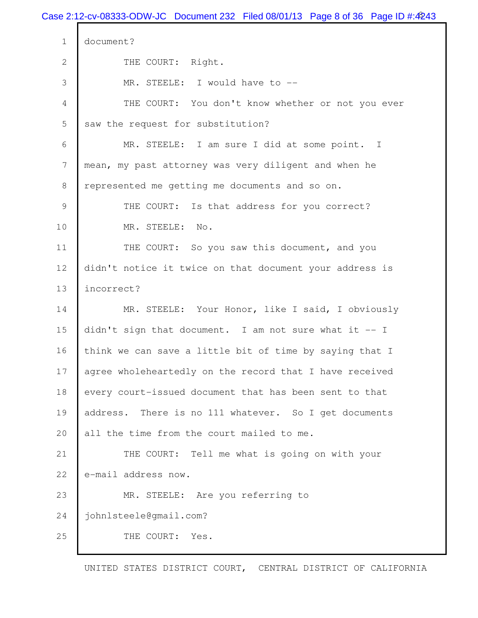Case 2:12-cv-08333-ODW-JC Document 232 Filed 08/01/13 Page 8 of 36 Page ID #:4243 1 document? 2 THE COURT: Right. 3 MR. STEELE: I would have to -- 4 THE COURT: You don't know whether or not you ever 5 saw the request for substitution? 6 MR. STEELE: I am sure I did at some point. I 7 mean, my past attorney was very diligent and when he 8 represented me getting me documents and so on. 9 THE COURT: Is that address for you correct? 10 MR. STEELE: No. 11 THE COURT: So you saw this document, and you 12 didn't notice it twice on that document your address is 13 incorrect? 14 MR. STEELE: Your Honor, like I said, I obviously 15 didn't sign that document. I am not sure what it -- I 16 think we can save a little bit of time by saying that I 17 agree wholeheartedly on the record that I have received 18 every court-issued document that has been sent to that 19 address. There is no 111 whatever. So I get documents 20 all the time from the court mailed to me. 21 THE COURT: Tell me what is going on with your 22 e-mail address now. 23 MR. STEELE: Are you referring to 24 johnlsteele@gmail.com? 25 THE COURT: Yes.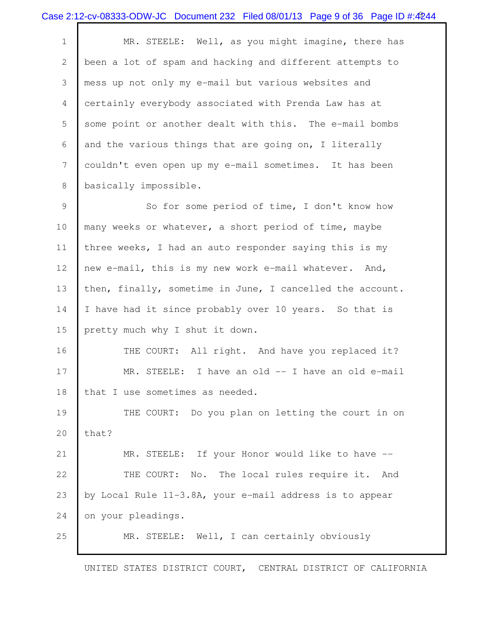|                | Case 2:12-cv-08333-ODW-JC Document 232 Filed 08/01/13 Page 9 of 36 Page ID #:4244 |
|----------------|-----------------------------------------------------------------------------------|
| $\mathbf 1$    | MR. STEELE: Well, as you might imagine, there has                                 |
| $\overline{2}$ | been a lot of spam and hacking and different attempts to                          |
| 3              | mess up not only my e-mail but various websites and                               |
| $\overline{4}$ | certainly everybody associated with Prenda Law has at                             |
| 5              | some point or another dealt with this. The e-mail bombs                           |
| 6              | and the various things that are going on, I literally                             |
| 7              | couldn't even open up my e-mail sometimes. It has been                            |
| $\,8\,$        | basically impossible.                                                             |
| $\mathcal{G}$  | So for some period of time, I don't know how                                      |
| $10$           | many weeks or whatever, a short period of time, maybe                             |
| 11             | three weeks, I had an auto responder saying this is my                            |
| 12             | new e-mail, this is my new work e-mail whatever. And,                             |
| 13             | then, finally, sometime in June, I cancelled the account.                         |
| 14             | I have had it since probably over 10 years. So that is                            |
| 15             | pretty much why I shut it down.                                                   |
| 16             | THE COURT: All right. And have you replaced it?                                   |
| 17             | MR. STEELE: I have an old -- I have an old e-mail                                 |
| 18             | that I use sometimes as needed.                                                   |
| 19             | THE COURT: Do you plan on letting the court in on                                 |
| 20             | that?                                                                             |
| 21             | MR. STEELE: If your Honor would like to have --                                   |
| 22             | THE COURT: No. The local rules require it. And                                    |
| 23             | by Local Rule 11-3.8A, your e-mail address is to appear                           |
| 24             | on your pleadings.                                                                |
| 25             | MR. STEELE: Well, I can certainly obviously                                       |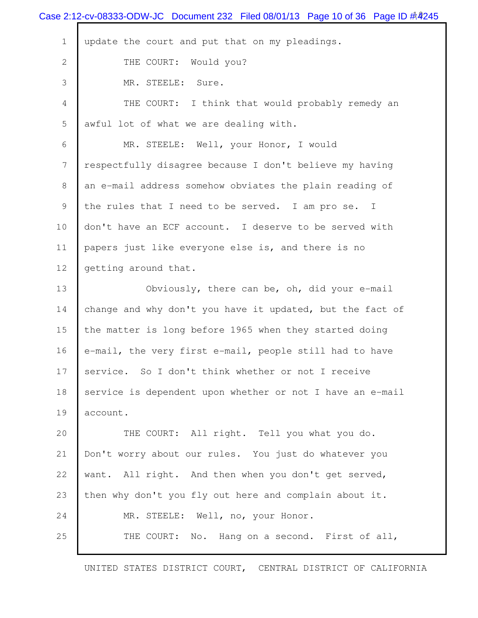|              | Case 2:12-cv-08333-ODW-JC Document 232 Filed 08/01/13 Page 10 of 36 Page ID #4245 |
|--------------|-----------------------------------------------------------------------------------|
| $\mathbf 1$  | update the court and put that on my pleadings.                                    |
| $\mathbf{2}$ | THE COURT: Would you?                                                             |
| 3            | MR. STEELE: Sure.                                                                 |
| 4            | THE COURT: I think that would probably remedy an                                  |
| 5            | awful lot of what we are dealing with.                                            |
| 6            | MR. STEELE: Well, your Honor, I would                                             |
| 7            | respectfully disagree because I don't believe my having                           |
| 8            | an e-mail address somehow obviates the plain reading of                           |
| 9            | the rules that I need to be served. I am pro se. I                                |
| 10           | don't have an ECF account. I deserve to be served with                            |
| 11           | papers just like everyone else is, and there is no                                |
| 12           | getting around that.                                                              |
| 13           | Obviously, there can be, oh, did your e-mail                                      |
| 14           | change and why don't you have it updated, but the fact of                         |
| 15           | the matter is long before 1965 when they started doing                            |
| 16           | e-mail, the very first e-mail, people still had to have                           |
| 17           | service. So I don't think whether or not I receive                                |
| 18           | service is dependent upon whether or not I have an e-mail                         |
| 19           | account.                                                                          |
| 20           | THE COURT: All right. Tell you what you do.                                       |
| 21           | Don't worry about our rules. You just do whatever you                             |
| 22           | want. All right. And then when you don't get served,                              |
| 23           | then why don't you fly out here and complain about it.                            |
| 24           | MR. STEELE: Well, no, your Honor.                                                 |
| 25           | No. Hang on a second. First of all,<br>THE COURT:                                 |
|              |                                                                                   |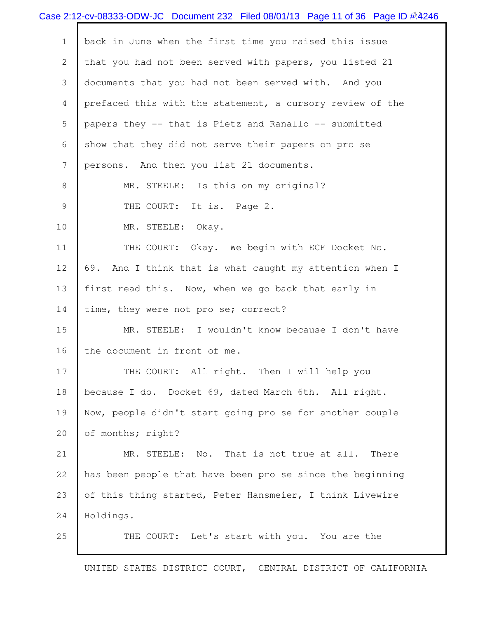|              | Case 2:12-cv-08333-ODW-JC Document 232 Filed 08/01/13 Page 11 of 36 Page ID #4246 |
|--------------|-----------------------------------------------------------------------------------|
| $\mathbf 1$  | back in June when the first time you raised this issue                            |
| $\mathbf{2}$ | that you had not been served with papers, you listed 21                           |
| 3            | documents that you had not been served with. And you                              |
| 4            | prefaced this with the statement, a cursory review of the                         |
| 5            | papers they -- that is Pietz and Ranallo -- submitted                             |
| 6            | show that they did not serve their papers on pro se                               |
| 7            | persons. And then you list 21 documents.                                          |
| 8            | MR. STEELE: Is this on my original?                                               |
| 9            | THE COURT: It is. Page 2.                                                         |
| 10           | MR. STEELE: Okay.                                                                 |
| 11           | THE COURT: Okay. We begin with ECF Docket No.                                     |
| 12           | 69. And I think that is what caught my attention when I                           |
| 13           | first read this. Now, when we go back that early in                               |
| 14           | time, they were not pro se; correct?                                              |
| 15           | MR. STEELE: I wouldn't know because I don't have                                  |
| 16           | the document in front of me.                                                      |
| 17           | THE COURT: All right. Then I will help you                                        |
| 18           | because I do. Docket 69, dated March 6th. All right.                              |
| 19           | Now, people didn't start going pro se for another couple                          |
| 20           | of months; right?                                                                 |
| 21           | MR. STEELE: No. That is not true at all. There                                    |
| 22           | has been people that have been pro se since the beginning                         |
| 23           | of this thing started, Peter Hansmeier, I think Livewire                          |
| 24           | Holdings.                                                                         |
| 25           | THE COURT: Let's start with you. You are the                                      |
|              |                                                                                   |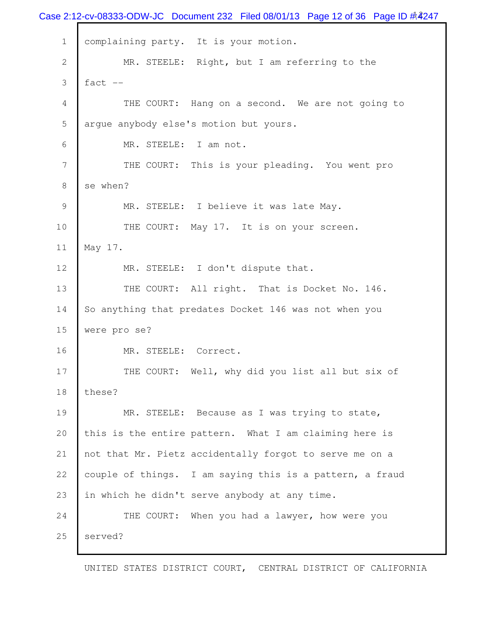Case 2:12-cv-08333-ODW-JC Document 232 Filed 08/01/13 Page 12 of 36 Page ID #:4247 1 | complaining party. It is your motion. 2 MR. STEELE: Right, but I am referring to the  $3$  fact  $-$  4 THE COURT: Hang on a second. We are not going to 5 arque anybody else's motion but yours. 6 MR. STEELE: I am not. 7 THE COURT: This is your pleading. You went pro 8 se when? 9 MR. STEELE: I believe it was late May. 10 THE COURT: May 17. It is on your screen. 11 May 17. 12 MR. STEELE: I don't dispute that. 13 THE COURT: All right. That is Docket No. 146. 14 So anything that predates Docket 146 was not when you 15 were pro se? 16 MR. STEELE: Correct. 17 THE COURT: Well, why did you list all but six of 18 these? 19 MR. STEELE: Because as I was trying to state, 20 this is the entire pattern. What I am claiming here is 21 not that Mr. Pietz accidentally forgot to serve me on a 22 couple of things. I am saying this is a pattern, a fraud 23 in which he didn't serve anybody at any time. 24 THE COURT: When you had a lawyer, how were you 25 served?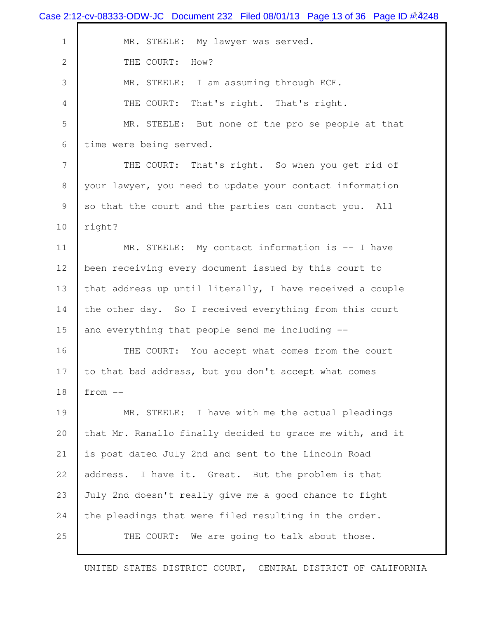|                  | Case 2:12-cv-08333-ODW-JC Document 232 Filed 08/01/13 Page 13 of 36 Page ID #4248 |
|------------------|-----------------------------------------------------------------------------------|
| $1\,$            | MR. STEELE: My lawyer was served.                                                 |
| $\mathbf{2}$     | THE COURT: How?                                                                   |
| 3                | MR. STEELE: I am assuming through ECF.                                            |
| 4                | That's right. That's right.<br>THE COURT:                                         |
| 5                | MR. STEELE: But none of the pro se people at that                                 |
| 6                | time were being served.                                                           |
| $\boldsymbol{7}$ | THE COURT: That's right. So when you get rid of                                   |
| $8\,$            | your lawyer, you need to update your contact information                          |
| 9                | so that the court and the parties can contact you. All                            |
| 10               | right?                                                                            |
| 11               | MR. STEELE: My contact information is -- I have                                   |
| 12               | been receiving every document issued by this court to                             |
| 13               | that address up until literally, I have received a couple                         |
| 14               | the other day. So I received everything from this court                           |
| 15               | and everything that people send me including --                                   |
| 16               | THE COURT: You accept what comes from the court                                   |
| 17               | to that bad address, but you don't accept what comes                              |
| 18               | $from --$                                                                         |
| 19               | MR. STEELE: I have with me the actual pleadings                                   |
| 20               | that Mr. Ranallo finally decided to grace me with, and it                         |
| 21               | is post dated July 2nd and sent to the Lincoln Road                               |
| 22               | I have it. Great. But the problem is that<br>address.                             |
| 23               | July 2nd doesn't really give me a good chance to fight                            |
| 24               | the pleadings that were filed resulting in the order.                             |
| 25               | We are going to talk about those.<br>THE COURT:                                   |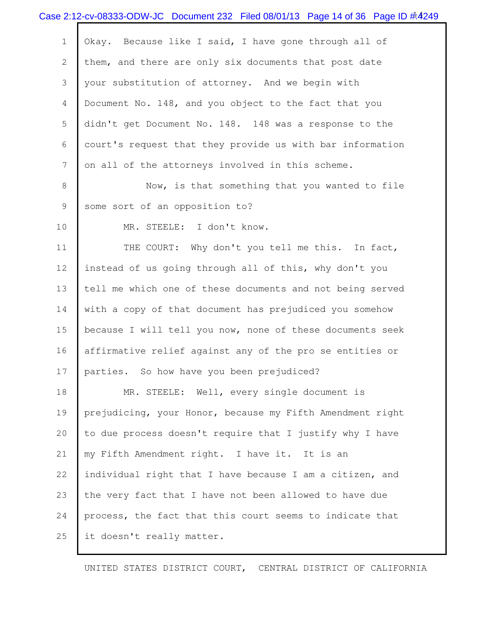|                | Case 2:12-cv-08333-ODW-JC Document 232 Filed 08/01/13 Page 14 of 36 Page ID #4249 |
|----------------|-----------------------------------------------------------------------------------|
| $\mathbf 1$    | Okay. Because like I said, I have gone through all of                             |
| $\mathbf{2}$   | them, and there are only six documents that post date                             |
| 3              | your substitution of attorney. And we begin with                                  |
| $\overline{4}$ | Document No. 148, and you object to the fact that you                             |
| 5              | didn't get Document No. 148. 148 was a response to the                            |
| 6              | court's request that they provide us with bar information                         |
| 7              | on all of the attorneys involved in this scheme.                                  |
| 8              | Now, is that something that you wanted to file                                    |
| 9              | some sort of an opposition to?                                                    |
| 10             | MR. STEELE: I don't know.                                                         |
| 11             | THE COURT: Why don't you tell me this. In fact,                                   |
| 12             | instead of us going through all of this, why don't you                            |
| 13             | tell me which one of these documents and not being served                         |
| 14             | with a copy of that document has prejudiced you somehow                           |
| 15             | because I will tell you now, none of these documents seek                         |
| 16             | affirmative relief against any of the pro se entities or                          |
| 17             | parties. So how have you been prejudiced?                                         |
| 18             | MR. STEELE: Well, every single document is                                        |
| 19             | prejudicing, your Honor, because my Fifth Amendment right                         |
| 20             | to due process doesn't require that I justify why I have                          |
| 21             | my Fifth Amendment right. I have it. It is an                                     |
| 22             | individual right that I have because I am a citizen, and                          |
| 23             | the very fact that I have not been allowed to have due                            |
| 24             | process, the fact that this court seems to indicate that                          |
| 25             | it doesn't really matter.                                                         |
|                |                                                                                   |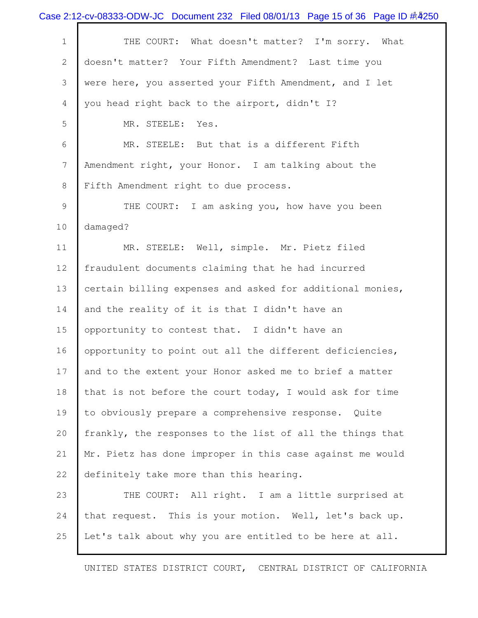|                 | Case 2:12-cv-08333-ODW-JC Document 232 Filed 08/01/13 Page 15 of 36 Page ID # 4250 |
|-----------------|------------------------------------------------------------------------------------|
| $\mathbf 1$     | THE COURT: What doesn't matter? I'm sorry. What                                    |
| $\mathbf{2}$    | doesn't matter? Your Fifth Amendment? Last time you                                |
| 3               | were here, you asserted your Fifth Amendment, and I let                            |
| 4               | you head right back to the airport, didn't I?                                      |
| 5               | MR. STEELE:<br>Yes.                                                                |
| 6               | MR. STEELE: But that is a different Fifth                                          |
| $7\phantom{.0}$ | Amendment right, your Honor. I am talking about the                                |
| 8               | Fifth Amendment right to due process.                                              |
| 9               | THE COURT: I am asking you, how have you been                                      |
| 10              | damaged?                                                                           |
| 11              | MR. STEELE: Well, simple. Mr. Pietz filed                                          |
| 12              | fraudulent documents claiming that he had incurred                                 |
| 13              | certain billing expenses and asked for additional monies,                          |
| 14              | and the reality of it is that I didn't have an                                     |
| 15              | opportunity to contest that. I didn't have an                                      |
| 16              | opportunity to point out all the different deficiencies,                           |
| 17              | and to the extent your Honor asked me to brief a matter                            |
| 18              | that is not before the court today, I would ask for time                           |
| 19              | to obviously prepare a comprehensive response. Quite                               |
| 20              | frankly, the responses to the list of all the things that                          |
| 21              | Mr. Pietz has done improper in this case against me would                          |
| 22              | definitely take more than this hearing.                                            |
| 23              | THE COURT: All right. I am a little surprised at                                   |
| 24              | that request. This is your motion. Well, let's back up.                            |
| 25              | Let's talk about why you are entitled to be here at all.                           |
|                 |                                                                                    |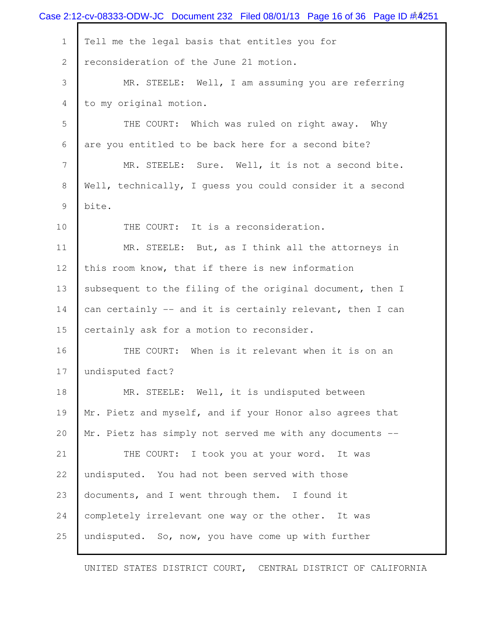|                | Case 2:12-cv-08333-ODW-JC Document 232 Filed 08/01/13 Page 16 of 36 Page ID #4251 |
|----------------|-----------------------------------------------------------------------------------|
| $\mathbf 1$    | Tell me the legal basis that entitles you for                                     |
| $\mathbf{2}$   | reconsideration of the June 21 motion.                                            |
| 3              | MR. STEELE: Well, I am assuming you are referring                                 |
| 4              | to my original motion.                                                            |
| 5              | THE COURT: Which was ruled on right away. Why                                     |
| 6              | are you entitled to be back here for a second bite?                               |
| $\overline{7}$ | MR. STEELE: Sure. Well, it is not a second bite.                                  |
| 8              | Well, technically, I quess you could consider it a second                         |
| 9              | bite.                                                                             |
| 10             | THE COURT: It is a reconsideration.                                               |
| 11             | MR. STEELE: But, as I think all the attorneys in                                  |
| 12             | this room know, that if there is new information                                  |
| 13             | subsequent to the filing of the original document, then I                         |
| 14             | can certainly -- and it is certainly relevant, then I can                         |
| 15             | certainly ask for a motion to reconsider.                                         |
| 16             | THE COURT: When is it relevant when it is on an                                   |
| 17             | undisputed fact?                                                                  |
| 18             | MR. STEELE: Well, it is undisputed between                                        |
| 19             | Mr. Pietz and myself, and if your Honor also agrees that                          |
| 20             | Mr. Pietz has simply not served me with any documents --                          |
| 21             | THE COURT: I took you at your word. It was                                        |
| 22             | undisputed. You had not been served with those                                    |
| 23             | documents, and I went through them. I found it                                    |
| 24             | completely irrelevant one way or the other. It was                                |
| 25             | undisputed. So, now, you have come up with further                                |
|                |                                                                                   |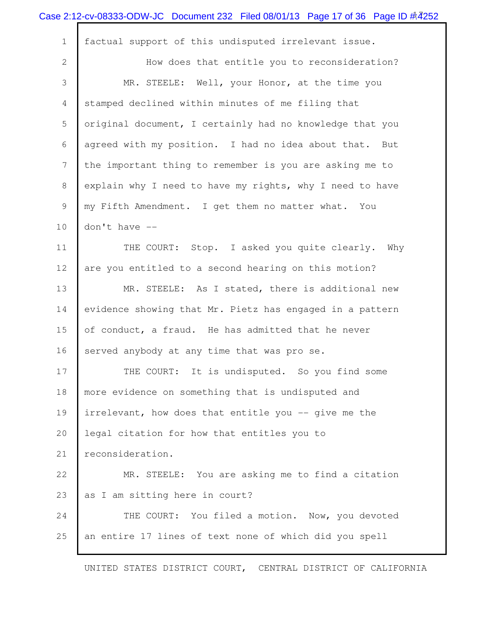|              | Case 2:12-cv-08333-ODW-JC Document 232 Filed 08/01/13 Page 17 of 36 Page ID $\#$ 4252 |
|--------------|---------------------------------------------------------------------------------------|
| $\mathbf{1}$ | factual support of this undisputed irrelevant issue.                                  |
| $\mathbf{2}$ | How does that entitle you to reconsideration?                                         |
| 3            | MR. STEELE: Well, your Honor, at the time you                                         |
| 4            | stamped declined within minutes of me filing that                                     |
| 5            | original document, I certainly had no knowledge that you                              |
| 6            | agreed with my position. I had no idea about that. But                                |
| 7            | the important thing to remember is you are asking me to                               |
| 8            | explain why I need to have my rights, why I need to have                              |
| 9            | my Fifth Amendment. I get them no matter what. You                                    |
| 10           | don't have --                                                                         |
| 11           | THE COURT: Stop. I asked you quite clearly. Why                                       |
| 12           | are you entitled to a second hearing on this motion?                                  |
| 13           | MR. STEELE: As I stated, there is additional new                                      |
| 14           | evidence showing that Mr. Pietz has engaged in a pattern                              |
| 15           | of conduct, a fraud. He has admitted that he never                                    |
| 16           | served anybody at any time that was pro se.                                           |
| 17           | THE COURT: It is undisputed. So you find some                                         |
| 18           | more evidence on something that is undisputed and                                     |
| 19           | irrelevant, how does that entitle you -- give me the                                  |
| 20           | legal citation for how that entitles you to                                           |
| 21           | reconsideration.                                                                      |
| 22           | MR. STEELE: You are asking me to find a citation                                      |
| 23           | as I am sitting here in court?                                                        |
| 24           | THE COURT: You filed a motion. Now, you devoted                                       |
| 25           | an entire 17 lines of text none of which did you spell                                |
|              |                                                                                       |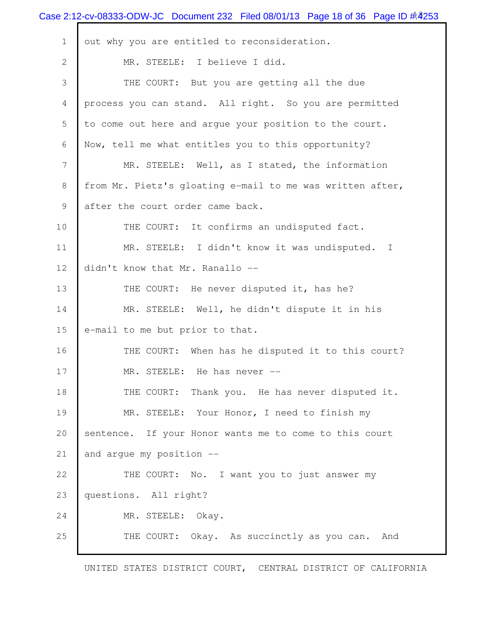|                | Case 2:12-cv-08333-ODW-JC Document 232 Filed 08/01/13 Page 18 of 36 Page ID # 4253 |
|----------------|------------------------------------------------------------------------------------|
| $\mathbf 1$    | out why you are entitled to reconsideration.                                       |
| $\mathbf{2}$   | MR. STEELE: I believe I did.                                                       |
| 3              | THE COURT: But you are getting all the due                                         |
| $\overline{4}$ | process you can stand. All right. So you are permitted                             |
| 5              | to come out here and argue your position to the court.                             |
| 6              | Now, tell me what entitles you to this opportunity?                                |
| 7              | MR. STEELE: Well, as I stated, the information                                     |
| 8              | from Mr. Pietz's gloating e-mail to me was written after,                          |
| 9              | after the court order came back.                                                   |
| 10             | THE COURT: It confirms an undisputed fact.                                         |
| 11             | MR. STEELE: I didn't know it was undisputed. I                                     |
| 12             | didn't know that Mr. Ranallo --                                                    |
| 13             | THE COURT: He never disputed it, has he?                                           |
| 14             | MR. STEELE: Well, he didn't dispute it in his                                      |
| 15             | e-mail to me but prior to that.                                                    |
| 16             | THE COURT: When has he disputed it to this court?                                  |
| 17             | MR. STEELE: He has never --                                                        |
| 18             | THE COURT:<br>Thank you. He has never disputed it.                                 |
| 19             | MR. STEELE: Your Honor, I need to finish my                                        |
| 20             | sentence. If your Honor wants me to come to this court                             |
| 21             | and arque my position --                                                           |
| 22             | THE COURT: No. I want you to just answer my                                        |
| 23             | questions. All right?                                                              |
| 24             | MR. STEELE: Okay.                                                                  |
| 25             | THE COURT: Okay. As succinctly as you can.<br>And                                  |
|                |                                                                                    |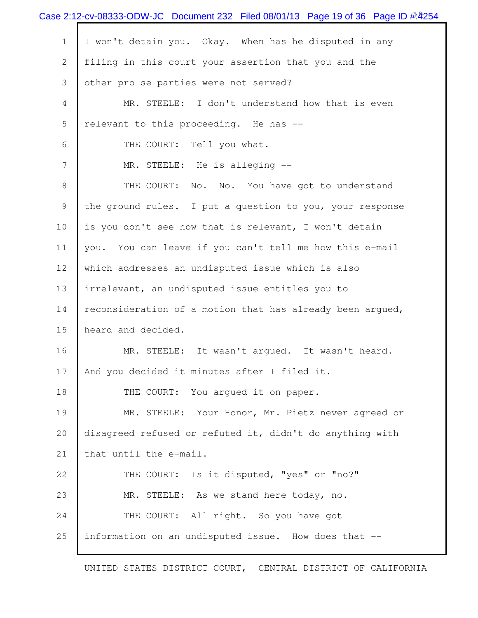|             | Case 2:12-cv-08333-ODW-JC Document 232 Filed 08/01/13 Page 19 of 36 Page ID # 4254 |
|-------------|------------------------------------------------------------------------------------|
| $\mathbf 1$ | I won't detain you. Okay. When has he disputed in any                              |
| 2           | filing in this court your assertion that you and the                               |
| 3           | other pro se parties were not served?                                              |
| 4           | MR. STEELE: I don't understand how that is even                                    |
| 5           | relevant to this proceeding. He has --                                             |
| 6           | THE COURT: Tell you what.                                                          |
| 7           | MR. STEELE: He is alleging --                                                      |
| 8           | THE COURT:<br>No. No. You have got to understand                                   |
| 9           | the ground rules. I put a question to you, your response                           |
| 10          | is you don't see how that is relevant, I won't detain                              |
| 11          | you. You can leave if you can't tell me how this e-mail                            |
| 12          | which addresses an undisputed issue which is also                                  |
| 13          | irrelevant, an undisputed issue entitles you to                                    |
| 14          | reconsideration of a motion that has already been argued,                          |
| 15          | heard and decided.                                                                 |
| 16          | MR. STEELE: It wasn't argued. It wasn't heard.                                     |
| 17          | And you decided it minutes after I filed it.                                       |
| 18          | THE COURT: You argued it on paper.                                                 |
| 19          | MR. STEELE: Your Honor, Mr. Pietz never agreed or                                  |
| 20          | disagreed refused or refuted it, didn't do anything with                           |
| 21          | that until the e-mail.                                                             |
| 22          | THE COURT: Is it disputed, "yes" or "no?"                                          |
| 23          | MR. STEELE: As we stand here today, no.                                            |
| 24          | THE COURT: All right. So you have got                                              |
| 25          | information on an undisputed issue. How does that --                               |
|             |                                                                                    |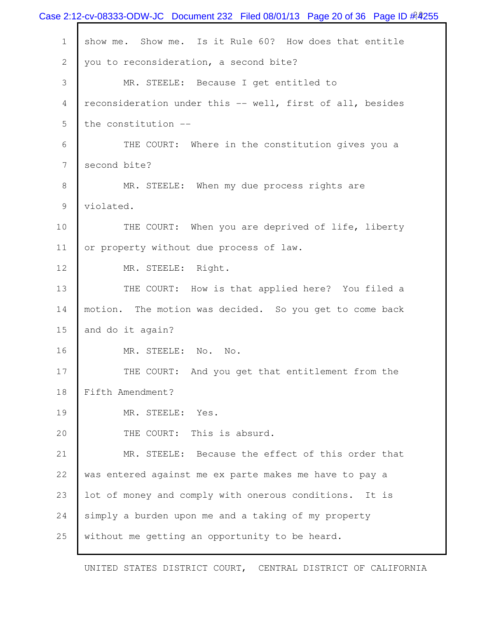|                | Case 2:12-cv-08333-ODW-JC Document 232 Filed 08/01/13 Page 20 of 36 Page ID # 4255 |
|----------------|------------------------------------------------------------------------------------|
| $\mathbf{1}$   | show me. Show me. Is it Rule 60? How does that entitle                             |
| $\overline{2}$ | you to reconsideration, a second bite?                                             |
| 3              | MR. STEELE: Because I get entitled to                                              |
| 4              | reconsideration under this -- well, first of all, besides                          |
| 5              | the constitution --                                                                |
| 6              | THE COURT: Where in the constitution gives you a                                   |
| 7              | second bite?                                                                       |
| 8              | MR. STEELE: When my due process rights are                                         |
| 9              | violated.                                                                          |
| 10             | THE COURT: When you are deprived of life, liberty                                  |
| 11             | or property without due process of law.                                            |
| 12             | MR. STEELE: Right.                                                                 |
| 13             | THE COURT: How is that applied here? You filed a                                   |
| 14             | motion. The motion was decided. So you get to come back                            |
| 15             | and do it again?                                                                   |
| 16             | MR. STEELE:<br>No. No.                                                             |
| 17             | THE COURT: And you get that entitlement from the                                   |
| 18             | Fifth Amendment?                                                                   |
| 19             | MR. STEELE: Yes.                                                                   |
| 20             | THE COURT: This is absurd.                                                         |
| 21             | MR. STEELE: Because the effect of this order that                                  |
| 22             | was entered against me ex parte makes me have to pay a                             |
| 23             | lot of money and comply with onerous conditions. It is                             |
| 24             | simply a burden upon me and a taking of my property                                |
| 25             | without me getting an opportunity to be heard.                                     |
|                |                                                                                    |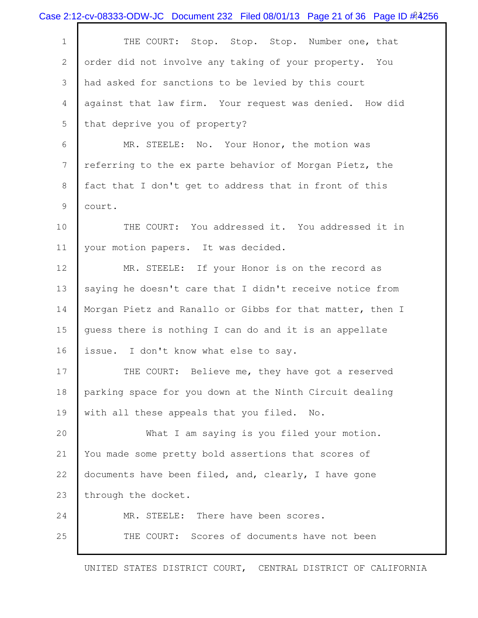|              | Case 2:12-cv-08333-ODW-JC Document 232 Filed 08/01/13 Page 21 of 36 Page ID # 4256 |
|--------------|------------------------------------------------------------------------------------|
| $\mathbf 1$  | THE COURT: Stop. Stop. Stop. Number one, that                                      |
| $\mathbf{2}$ | order did not involve any taking of your property. You                             |
| 3            | had asked for sanctions to be levied by this court                                 |
| 4            | against that law firm. Your request was denied. How did                            |
| 5            | that deprive you of property?                                                      |
| 6            | MR. STEELE: No. Your Honor, the motion was                                         |
| 7            | referring to the ex parte behavior of Morgan Pietz, the                            |
| 8            | fact that I don't get to address that in front of this                             |
| 9            | court.                                                                             |
| 10           | THE COURT: You addressed it. You addressed it in                                   |
| 11           | your motion papers. It was decided.                                                |
| 12           | MR. STEELE: If your Honor is on the record as                                      |
| 13           | saying he doesn't care that I didn't receive notice from                           |
| 14           | Morgan Pietz and Ranallo or Gibbs for that matter, then I                          |
| 15           | guess there is nothing I can do and it is an appellate                             |
| 16           | issue. I don't know what else to say.                                              |
| 17           | THE COURT: Believe me, they have got a reserved                                    |
| 18           | parking space for you down at the Ninth Circuit dealing                            |
| 19           | with all these appeals that you filed. No.                                         |
| 20           | What I am saying is you filed your motion.                                         |
| 21           | You made some pretty bold assertions that scores of                                |
| 22           | documents have been filed, and, clearly, I have gone                               |
| 23           | through the docket.                                                                |
| 24           | MR. STEELE: There have been scores.                                                |
| 25           | Scores of documents have not been<br>THE COURT:                                    |
|              |                                                                                    |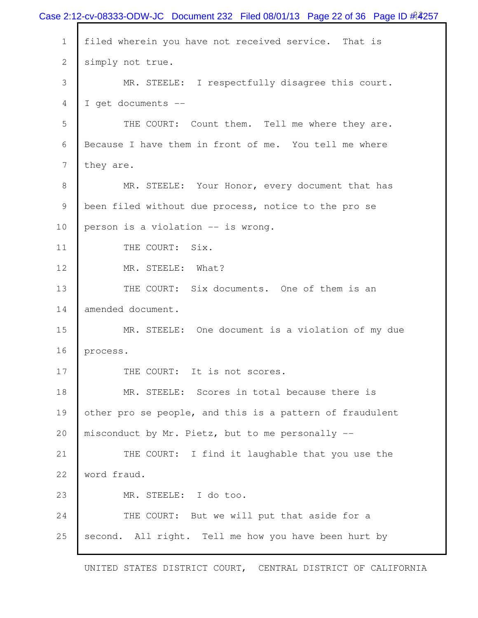| filed wherein you have not received service. That is<br>$\mathbf{1}$<br>simply not true.<br>$\mathbf{2}$<br>3<br>MR. STEELE: I respectfully disagree this court.<br>I get documents --<br>4<br>5<br>THE COURT: Count them. Tell me where they are.<br>Because I have them in front of me. You tell me where<br>6<br>7<br>they are.<br>8<br>MR. STEELE: Your Honor, every document that has<br>been filed without due process, notice to the pro se<br>9<br>10<br>person is a violation -- is wrong.<br>THE COURT: Six.<br>11<br>12<br>MR. STEELE: What?<br>13<br>THE COURT: Six documents. One of them is an<br>amended document.<br>14<br>15<br>MR. STEELE: One document is a violation of my due<br>16<br>process.<br>17<br>THE COURT: It is not scores.<br>18<br>MR. STEELE: Scores in total because there is<br>19<br>other pro se people, and this is a pattern of fraudulent<br>20<br>misconduct by Mr. Pietz, but to me personally --<br>THE COURT: I find it laughable that you use the<br>21<br>22<br>word fraud.<br>23<br>MR. STEELE: I do too.<br>THE COURT: But we will put that aside for a<br>24 |    | Case 2:12-cv-08333-ODW-JC Document 232 Filed 08/01/13 Page 22 of 36 Page ID # 257 |
|----------------------------------------------------------------------------------------------------------------------------------------------------------------------------------------------------------------------------------------------------------------------------------------------------------------------------------------------------------------------------------------------------------------------------------------------------------------------------------------------------------------------------------------------------------------------------------------------------------------------------------------------------------------------------------------------------------------------------------------------------------------------------------------------------------------------------------------------------------------------------------------------------------------------------------------------------------------------------------------------------------------------------------------------------------------------------------------------------------------|----|-----------------------------------------------------------------------------------|
|                                                                                                                                                                                                                                                                                                                                                                                                                                                                                                                                                                                                                                                                                                                                                                                                                                                                                                                                                                                                                                                                                                                |    |                                                                                   |
|                                                                                                                                                                                                                                                                                                                                                                                                                                                                                                                                                                                                                                                                                                                                                                                                                                                                                                                                                                                                                                                                                                                |    |                                                                                   |
|                                                                                                                                                                                                                                                                                                                                                                                                                                                                                                                                                                                                                                                                                                                                                                                                                                                                                                                                                                                                                                                                                                                |    |                                                                                   |
|                                                                                                                                                                                                                                                                                                                                                                                                                                                                                                                                                                                                                                                                                                                                                                                                                                                                                                                                                                                                                                                                                                                |    |                                                                                   |
|                                                                                                                                                                                                                                                                                                                                                                                                                                                                                                                                                                                                                                                                                                                                                                                                                                                                                                                                                                                                                                                                                                                |    |                                                                                   |
|                                                                                                                                                                                                                                                                                                                                                                                                                                                                                                                                                                                                                                                                                                                                                                                                                                                                                                                                                                                                                                                                                                                |    |                                                                                   |
|                                                                                                                                                                                                                                                                                                                                                                                                                                                                                                                                                                                                                                                                                                                                                                                                                                                                                                                                                                                                                                                                                                                |    |                                                                                   |
|                                                                                                                                                                                                                                                                                                                                                                                                                                                                                                                                                                                                                                                                                                                                                                                                                                                                                                                                                                                                                                                                                                                |    |                                                                                   |
|                                                                                                                                                                                                                                                                                                                                                                                                                                                                                                                                                                                                                                                                                                                                                                                                                                                                                                                                                                                                                                                                                                                |    |                                                                                   |
|                                                                                                                                                                                                                                                                                                                                                                                                                                                                                                                                                                                                                                                                                                                                                                                                                                                                                                                                                                                                                                                                                                                |    |                                                                                   |
|                                                                                                                                                                                                                                                                                                                                                                                                                                                                                                                                                                                                                                                                                                                                                                                                                                                                                                                                                                                                                                                                                                                |    |                                                                                   |
|                                                                                                                                                                                                                                                                                                                                                                                                                                                                                                                                                                                                                                                                                                                                                                                                                                                                                                                                                                                                                                                                                                                |    |                                                                                   |
|                                                                                                                                                                                                                                                                                                                                                                                                                                                                                                                                                                                                                                                                                                                                                                                                                                                                                                                                                                                                                                                                                                                |    |                                                                                   |
|                                                                                                                                                                                                                                                                                                                                                                                                                                                                                                                                                                                                                                                                                                                                                                                                                                                                                                                                                                                                                                                                                                                |    |                                                                                   |
|                                                                                                                                                                                                                                                                                                                                                                                                                                                                                                                                                                                                                                                                                                                                                                                                                                                                                                                                                                                                                                                                                                                |    |                                                                                   |
|                                                                                                                                                                                                                                                                                                                                                                                                                                                                                                                                                                                                                                                                                                                                                                                                                                                                                                                                                                                                                                                                                                                |    |                                                                                   |
|                                                                                                                                                                                                                                                                                                                                                                                                                                                                                                                                                                                                                                                                                                                                                                                                                                                                                                                                                                                                                                                                                                                |    |                                                                                   |
|                                                                                                                                                                                                                                                                                                                                                                                                                                                                                                                                                                                                                                                                                                                                                                                                                                                                                                                                                                                                                                                                                                                |    |                                                                                   |
|                                                                                                                                                                                                                                                                                                                                                                                                                                                                                                                                                                                                                                                                                                                                                                                                                                                                                                                                                                                                                                                                                                                |    |                                                                                   |
|                                                                                                                                                                                                                                                                                                                                                                                                                                                                                                                                                                                                                                                                                                                                                                                                                                                                                                                                                                                                                                                                                                                |    |                                                                                   |
|                                                                                                                                                                                                                                                                                                                                                                                                                                                                                                                                                                                                                                                                                                                                                                                                                                                                                                                                                                                                                                                                                                                |    |                                                                                   |
|                                                                                                                                                                                                                                                                                                                                                                                                                                                                                                                                                                                                                                                                                                                                                                                                                                                                                                                                                                                                                                                                                                                |    |                                                                                   |
|                                                                                                                                                                                                                                                                                                                                                                                                                                                                                                                                                                                                                                                                                                                                                                                                                                                                                                                                                                                                                                                                                                                |    |                                                                                   |
|                                                                                                                                                                                                                                                                                                                                                                                                                                                                                                                                                                                                                                                                                                                                                                                                                                                                                                                                                                                                                                                                                                                |    |                                                                                   |
|                                                                                                                                                                                                                                                                                                                                                                                                                                                                                                                                                                                                                                                                                                                                                                                                                                                                                                                                                                                                                                                                                                                | 25 | second. All right. Tell me how you have been hurt by                              |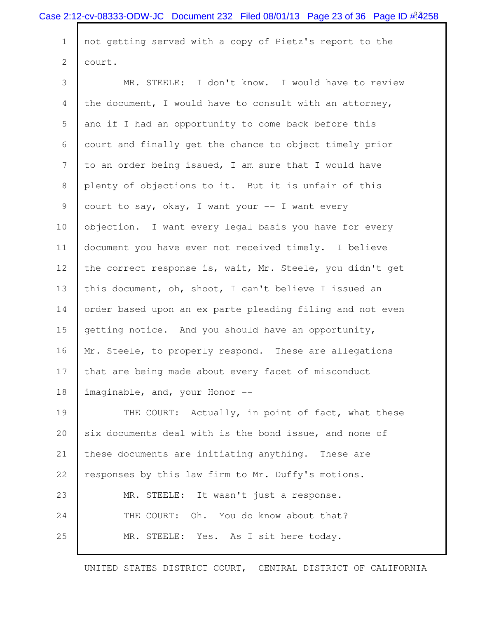1 not getting served with a copy of Pietz's report to the 2 court.

 3 MR. STEELE: I don't know. I would have to review 4 the document, I would have to consult with an attorney, 5 and if I had an opportunity to come back before this 6 court and finally get the chance to object timely prior 7 to an order being issued, I am sure that I would have 8 plenty of objections to it. But it is unfair of this 9 court to say, okay, I want your  $-$  I want every 10 objection. I want every legal basis you have for every 11 document you have ever not received timely. I believe 12 the correct response is, wait, Mr. Steele, you didn't get 13 this document, oh, shoot, I can't believe I issued an 14 order based upon an ex parte pleading filing and not even 15 getting notice. And you should have an opportunity, 16 Mr. Steele, to properly respond. These are allegations 17 that are being made about every facet of misconduct 18 | imaginable, and, your Honor --19 THE COURT: Actually, in point of fact, what these 20 six documents deal with is the bond issue, and none of 21 these documents are initiating anything. These are 22 responses by this law firm to Mr. Duffy's motions. 23 MR. STEELE: It wasn't just a response. 24 THE COURT: Oh. You do know about that? 25 MR. STEELE: Yes. As I sit here today.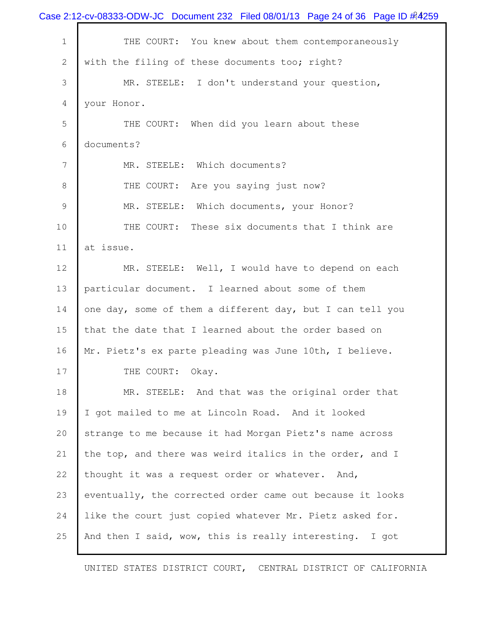|                | Case 2:12-cv-08333-ODW-JC Document 232 Filed 08/01/13 Page 24 of 36 Page ID $\#4259$ |
|----------------|--------------------------------------------------------------------------------------|
| $1\,$          | THE COURT: You knew about them contemporaneously                                     |
| $\overline{2}$ | with the filing of these documents too; right?                                       |
| 3              | MR. STEELE: I don't understand your question,                                        |
| 4              | your Honor.                                                                          |
| 5              | THE COURT: When did you learn about these                                            |
| 6              | documents?                                                                           |
| $\overline{7}$ | MR. STEELE: Which documents?                                                         |
| 8              | THE COURT: Are you saying just now?                                                  |
| 9              | MR. STEELE: Which documents, your Honor?                                             |
| 10             | THE COURT: These six documents that I think are                                      |
| 11             | at issue.                                                                            |
| 12             | MR. STEELE: Well, I would have to depend on each                                     |
| 13             | particular document. I learned about some of them                                    |
| 14             | one day, some of them a different day, but I can tell you                            |
| 15             | that the date that I learned about the order based on                                |
| 16             | Mr. Pietz's ex parte pleading was June 10th, I believe.                              |
| 17             | THE COURT: Okay.                                                                     |
| 18             | MR. STEELE: And that was the original order that                                     |
| 19             | I got mailed to me at Lincoln Road. And it looked                                    |
| 20             | strange to me because it had Morgan Pietz's name across                              |
| 21             | the top, and there was weird italics in the order, and I                             |
| 22             | thought it was a request order or whatever. And,                                     |
| 23             | eventually, the corrected order came out because it looks                            |
| 24             | like the court just copied whatever Mr. Pietz asked for.                             |
| 25             | And then I said, wow, this is really interesting. I got                              |
|                |                                                                                      |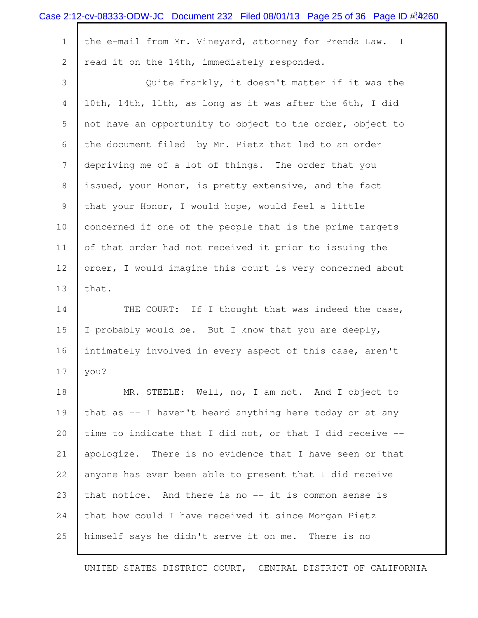|              | Case 2:12-cv-08333-ODW-JC Document 232 Filed 08/01/13 Page 25 of 36 Page ID # 4260 |
|--------------|------------------------------------------------------------------------------------|
| $\mathbf 1$  | the e-mail from Mr. Vineyard, attorney for Prenda Law. I                           |
| $\mathbf{2}$ | read it on the 14th, immediately responded.                                        |
| 3            | Quite frankly, it doesn't matter if it was the                                     |
| 4            | 10th, 14th, 11th, as long as it was after the 6th, I did                           |
| 5            | not have an opportunity to object to the order, object to                          |
| 6            | the document filed by Mr. Pietz that led to an order                               |
| 7            | depriving me of a lot of things. The order that you                                |
| 8            | issued, your Honor, is pretty extensive, and the fact                              |
| 9            | that your Honor, I would hope, would feel a little                                 |
| 10           | concerned if one of the people that is the prime targets                           |
| 11           | of that order had not received it prior to issuing the                             |
| 12           | order, I would imagine this court is very concerned about                          |
| 13           | that.                                                                              |
| 14           | THE COURT: If I thought that was indeed the case,                                  |
| 15           | I probably would be. But I know that you are deeply,                               |
| 16           | intimately involved in every aspect of this case, aren't                           |
| 17           | you?                                                                               |
| 18           | MR. STEELE: Well, no, I am not. And I object to                                    |
| 19           | that as -- I haven't heard anything here today or at any                           |
| 20           | time to indicate that I did not, or that I did receive --                          |
| 21           | apologize. There is no evidence that I have seen or that                           |
| 22           | anyone has ever been able to present that I did receive                            |
| 23           | that notice. And there is no -- it is common sense is                              |
| 24           | that how could I have received it since Morgan Pietz                               |
| 25           | himself says he didn't serve it on me. There is no                                 |
|              |                                                                                    |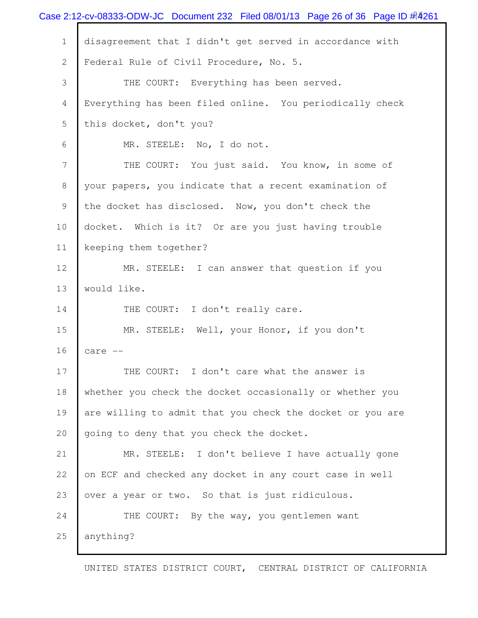|              | Case 2:12-cv-08333-ODW-JC Document 232 Filed 08/01/13 Page 26 of 36 Page ID # 4261 |
|--------------|------------------------------------------------------------------------------------|
| $\mathbf 1$  | disagreement that I didn't get served in accordance with                           |
| $\mathbf{2}$ | Federal Rule of Civil Procedure, No. 5.                                            |
| 3            | THE COURT: Everything has been served.                                             |
| 4            | Everything has been filed online. You periodically check                           |
| 5            | this docket, don't you?                                                            |
| 6            | MR. STEELE: No, I do not.                                                          |
| 7            | THE COURT: You just said. You know, in some of                                     |
| 8            | your papers, you indicate that a recent examination of                             |
| 9            | the docket has disclosed. Now, you don't check the                                 |
| 10           | docket. Which is it? Or are you just having trouble                                |
| 11           | keeping them together?                                                             |
| 12           | MR. STEELE: I can answer that question if you                                      |
| 13           | would like.                                                                        |
| 14           | THE COURT: I don't really care.                                                    |
| 15           | MR. STEELE: Well, your Honor, if you don't                                         |
| 16           | care --                                                                            |
| 17           | THE COURT: I don't care what the answer is                                         |
| 18           | whether you check the docket occasionally or whether you                           |
| 19           | are willing to admit that you check the docket or you are                          |
| 20           | going to deny that you check the docket.                                           |
| 21           | MR. STEELE: I don't believe I have actually gone                                   |
| 22           | on ECF and checked any docket in any court case in well                            |
| 23           | over a year or two. So that is just ridiculous.                                    |
| 24           | THE COURT: By the way, you gentlemen want                                          |
| 25           | anything?                                                                          |
|              |                                                                                    |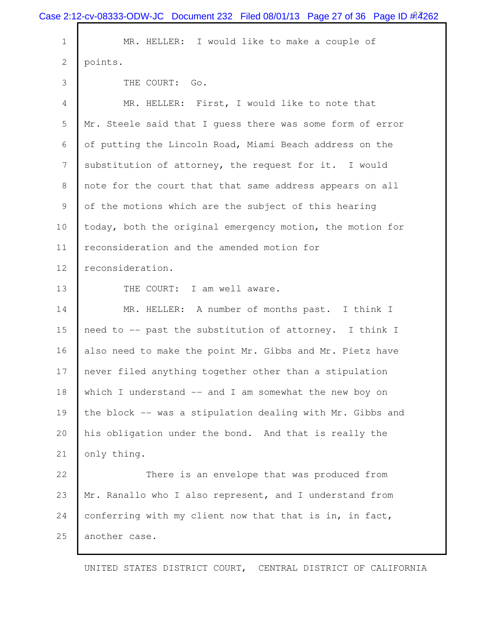|             | Case 2:12-cv-08333-ODW-JC Document 232 Filed 08/01/13 Page 27 of 36 Page ID # 4262 |
|-------------|------------------------------------------------------------------------------------|
| $\mathbf 1$ | MR. HELLER: I would like to make a couple of                                       |
| 2           | points.                                                                            |
| 3           | THE COURT: Go.                                                                     |
| 4           | MR. HELLER: First, I would like to note that                                       |
| 5           | Mr. Steele said that I guess there was some form of error                          |
| 6           | of putting the Lincoln Road, Miami Beach address on the                            |
| 7           | substitution of attorney, the request for it. I would                              |
| 8           | note for the court that that same address appears on all                           |
| 9           | of the motions which are the subject of this hearing                               |
| 10          | today, both the original emergency motion, the motion for                          |
| 11          | reconsideration and the amended motion for                                         |
| 12          | reconsideration.                                                                   |
| 13          | THE COURT: I am well aware.                                                        |
| 14          | MR. HELLER: A number of months past. I think I                                     |
| 15          | need to -- past the substitution of attorney. I think I                            |
| 16          | also need to make the point Mr. Gibbs and Mr. Pietz have                           |
| 17          | never filed anything together other than a stipulation                             |
| 18          | which I understand -- and I am somewhat the new boy on                             |
| 19          | the block -- was a stipulation dealing with Mr. Gibbs and                          |
| 20          | his obligation under the bond. And that is really the                              |
| 21          | only thing.                                                                        |
| 22          | There is an envelope that was produced from                                        |
| 23          | Mr. Ranallo who I also represent, and I understand from                            |
| 24          | conferring with my client now that that is in, in fact,                            |
| 25          | another case.                                                                      |
|             |                                                                                    |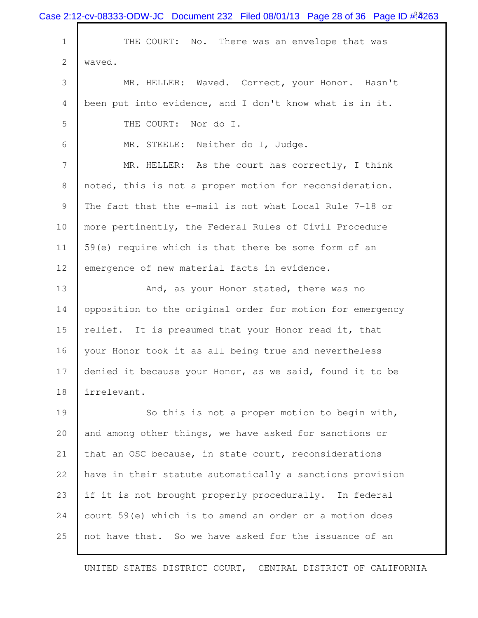|              | Case 2:12-cv-08333-ODW-JC Document 232 Filed 08/01/13 Page 28 of 36 Page ID $\#$ 4263 |
|--------------|---------------------------------------------------------------------------------------|
| $\mathbf 1$  | THE COURT: No. There was an envelope that was                                         |
| $\mathbf{2}$ | waved.                                                                                |
| 3            | MR. HELLER: Waved. Correct, your Honor. Hasn't                                        |
| 4            | been put into evidence, and I don't know what is in it.                               |
| 5            | THE COURT:<br>Nor do I.                                                               |
| 6            | MR. STEELE: Neither do I, Judge.                                                      |
| 7            | MR. HELLER: As the court has correctly, I think                                       |
| 8            | noted, this is not a proper motion for reconsideration.                               |
| 9            | The fact that the e-mail is not what Local Rule 7-18 or                               |
| 10           | more pertinently, the Federal Rules of Civil Procedure                                |
| 11           | 59(e) require which is that there be some form of an                                  |
| 12           | emergence of new material facts in evidence.                                          |
| 13           | And, as your Honor stated, there was no                                               |
| 14           | opposition to the original order for motion for emergency                             |
| 15           | relief. It is presumed that your Honor read it, that                                  |
| 16           | your Honor took it as all being true and nevertheless                                 |
| 17           | denied it because your Honor, as we said, found it to be                              |
| 18           | irrelevant.                                                                           |
| 19           | So this is not a proper motion to begin with,                                         |
| 20           | and among other things, we have asked for sanctions or                                |
| 21           | that an OSC because, in state court, reconsiderations                                 |
| 22           | have in their statute automatically a sanctions provision                             |
| 23           | if it is not brought properly procedurally. In federal                                |
| 24           | court 59(e) which is to amend an order or a motion does                               |
| 25           | not have that. So we have asked for the issuance of an                                |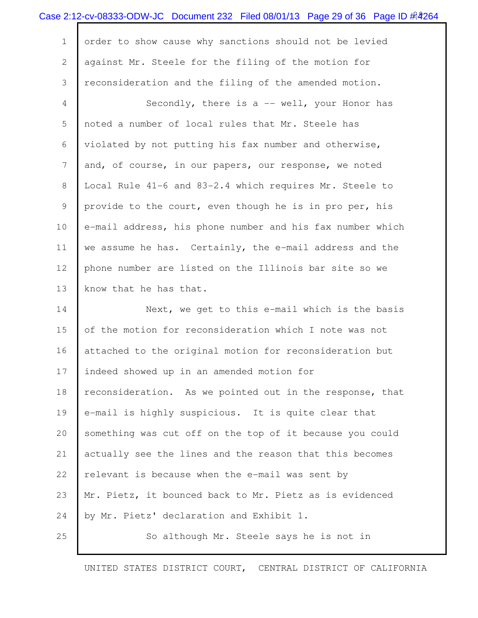|                 | Case 2:12-cv-08333-ODW-JC Document 232 Filed 08/01/13 Page 29 of 36 Page ID # 264 |
|-----------------|-----------------------------------------------------------------------------------|
| $\mathbf 1$     | order to show cause why sanctions should not be levied                            |
| $\mathbf{2}$    | against Mr. Steele for the filing of the motion for                               |
| 3               | reconsideration and the filing of the amended motion.                             |
| 4               | Secondly, there is a -- well, your Honor has                                      |
| 5               | noted a number of local rules that Mr. Steele has                                 |
| 6               | violated by not putting his fax number and otherwise,                             |
| $7\phantom{.0}$ | and, of course, in our papers, our response, we noted                             |
| 8               | Local Rule 41-6 and 83-2.4 which requires Mr. Steele to                           |
| 9               | provide to the court, even though he is in pro per, his                           |
| 10              | e-mail address, his phone number and his fax number which                         |
| 11              | we assume he has. Certainly, the e-mail address and the                           |
| 12              | phone number are listed on the Illinois bar site so we                            |
| 13              | know that he has that.                                                            |
| 14              | Next, we get to this e-mail which is the basis                                    |
| 15              | of the motion for reconsideration which I note was not                            |
| 16              | attached to the original motion for reconsideration but                           |
| 17              | indeed showed up in an amended motion for                                         |
| 18              | reconsideration. As we pointed out in the response, that                          |
| 19              | e-mail is highly suspicious. It is quite clear that                               |
| 20              | something was cut off on the top of it because you could                          |
| 21              | actually see the lines and the reason that this becomes                           |
| 22              | relevant is because when the e-mail was sent by                                   |
| 23              | Mr. Pietz, it bounced back to Mr. Pietz as is evidenced                           |
| 24              | by Mr. Pietz' declaration and Exhibit 1.                                          |
| 25              | So although Mr. Steele says he is not in                                          |
|                 |                                                                                   |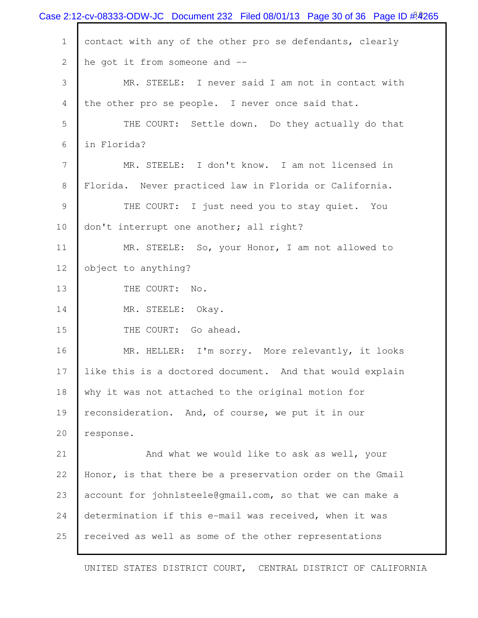|                | Case 2:12-cv-08333-ODW-JC Document 232 Filed 08/01/13 Page 30 of 36 Page ID $\frac{\cancel{0.001}}{\cancel{0.000}}$ |
|----------------|---------------------------------------------------------------------------------------------------------------------|
| $\mathbf 1$    | contact with any of the other pro se defendants, clearly                                                            |
| $\overline{2}$ | he got it from someone and --                                                                                       |
| 3              | MR. STEELE: I never said I am not in contact with                                                                   |
| 4              | the other pro se people. I never once said that.                                                                    |
| 5              | THE COURT: Settle down. Do they actually do that                                                                    |
| 6              | in Florida?                                                                                                         |
| 7              | MR. STEELE: I don't know. I am not licensed in                                                                      |
| 8              | Florida. Never practiced law in Florida or California.                                                              |
| 9              | THE COURT: I just need you to stay quiet. You                                                                       |
| 10             | don't interrupt one another; all right?                                                                             |
| 11             | MR. STEELE: So, your Honor, I am not allowed to                                                                     |
| 12             | object to anything?                                                                                                 |
| 13             | THE COURT: No.                                                                                                      |
| 14             | MR. STEELE: Okay.                                                                                                   |
| 15             | THE COURT: Go ahead.                                                                                                |
| 16             | MR. HELLER: I'm sorry. More relevantly, it looks                                                                    |
| 17             | like this is a doctored document. And that would explain                                                            |
| 18             | why it was not attached to the original motion for                                                                  |
| 19             | reconsideration. And, of course, we put it in our                                                                   |
| 20             | response.                                                                                                           |
| 21             | And what we would like to ask as well, your                                                                         |
| 22             | Honor, is that there be a preservation order on the Gmail                                                           |
| 23             | account for johnlsteele@gmail.com, so that we can make a                                                            |
| 24             | determination if this e-mail was received, when it was                                                              |
| 25             | received as well as some of the other representations                                                               |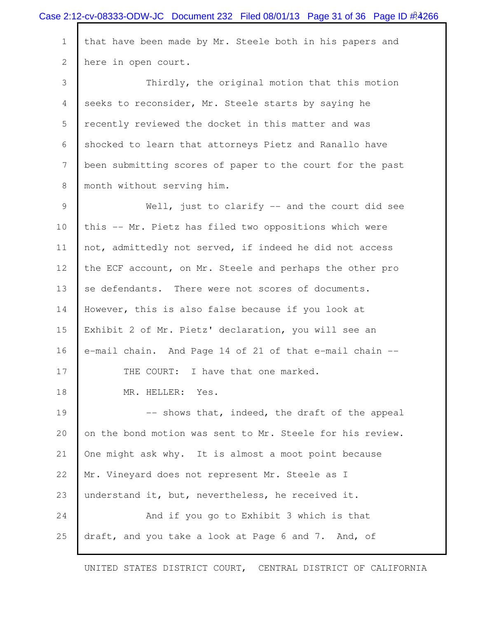|                | Case 2:12-cv-08333-ODW-JC Document 232 Filed 08/01/13 Page 31 of 36 Page ID $\#3266$ |
|----------------|--------------------------------------------------------------------------------------|
| $\mathbf 1$    | that have been made by Mr. Steele both in his papers and                             |
| 2              | here in open court.                                                                  |
| 3              | Thirdly, the original motion that this motion                                        |
| 4              | seeks to reconsider, Mr. Steele starts by saying he                                  |
| 5              | recently reviewed the docket in this matter and was                                  |
| 6              | shocked to learn that attorneys Pietz and Ranallo have                               |
| $\overline{7}$ | been submitting scores of paper to the court for the past                            |
| 8              | month without serving him.                                                           |
| 9              | Well, just to clarify $--$ and the court did see                                     |
| 10             | this -- Mr. Pietz has filed two oppositions which were                               |
| 11             | not, admittedly not served, if indeed he did not access                              |
| 12             | the ECF account, on Mr. Steele and perhaps the other pro                             |
| 13             | se defendants. There were not scores of documents.                                   |
| 14             | However, this is also false because if you look at                                   |
| 15             | Exhibit 2 of Mr. Pietz' declaration, you will see an                                 |
| 16             | e-mail chain. And Page 14 of 21 of that e-mail chain --                              |
| 17             | THE COURT: I have that one marked.                                                   |
| 18             | MR. HELLER:<br>Yes.                                                                  |
| 19             | -- shows that, indeed, the draft of the appeal                                       |
| 20             | on the bond motion was sent to Mr. Steele for his review.                            |
| 21             | One might ask why. It is almost a moot point because                                 |
| 22             | Mr. Vineyard does not represent Mr. Steele as I                                      |
| 23             | understand it, but, nevertheless, he received it.                                    |
| 24             | And if you go to Exhibit 3 which is that                                             |
| 25             | draft, and you take a look at Page 6 and 7. And, of                                  |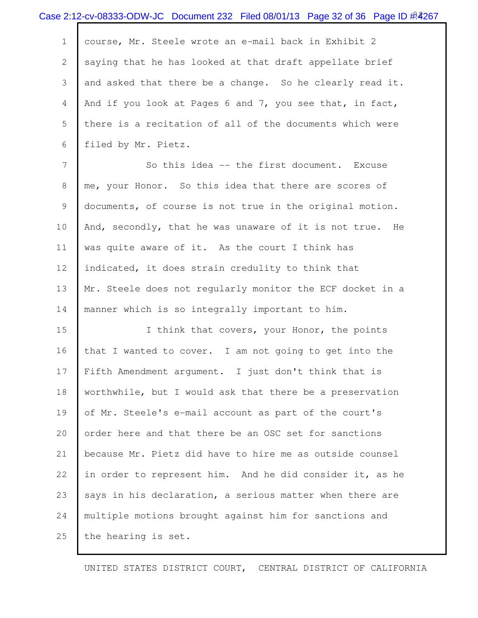|                | Case 2:12-cv-08333-ODW-JC Document 232 Filed 08/01/13 Page 32 of 36 Page ID $\frac{\#2}{267}$ |
|----------------|-----------------------------------------------------------------------------------------------|
| $\mathbf 1$    | course, Mr. Steele wrote an e-mail back in Exhibit 2                                          |
| $\mathbf{2}$   | saying that he has looked at that draft appellate brief                                       |
| 3              | and asked that there be a change. So he clearly read it.                                      |
| $\overline{4}$ | And if you look at Pages 6 and 7, you see that, in fact,                                      |
| 5              | there is a recitation of all of the documents which were                                      |
| 6              | filed by Mr. Pietz.                                                                           |
| $\overline{7}$ | So this idea -- the first document. Excuse                                                    |
| 8              | me, your Honor. So this idea that there are scores of                                         |
| 9              | documents, of course is not true in the original motion.                                      |
| 10             | And, secondly, that he was unaware of it is not true. He                                      |
| 11             | was quite aware of it. As the court I think has                                               |
| 12             | indicated, it does strain credulity to think that                                             |
| 13             | Mr. Steele does not regularly monitor the ECF docket in a                                     |
| 14             | manner which is so integrally important to him.                                               |
| 15             | I think that covers, your Honor, the points                                                   |
| 16             | that I wanted to cover. I am not going to get into the                                        |
| 17             | Fifth Amendment argument. I just don't think that is                                          |
| 18             | worthwhile, but I would ask that there be a preservation                                      |
| 19             | of Mr. Steele's e-mail account as part of the court's                                         |
| 20             | order here and that there be an OSC set for sanctions                                         |
| 21             | because Mr. Pietz did have to hire me as outside counsel                                      |
| 22             | in order to represent him. And he did consider it, as he                                      |
| 23             | says in his declaration, a serious matter when there are                                      |
| 24             | multiple motions brought against him for sanctions and                                        |
| 25             | the hearing is set.                                                                           |
|                |                                                                                               |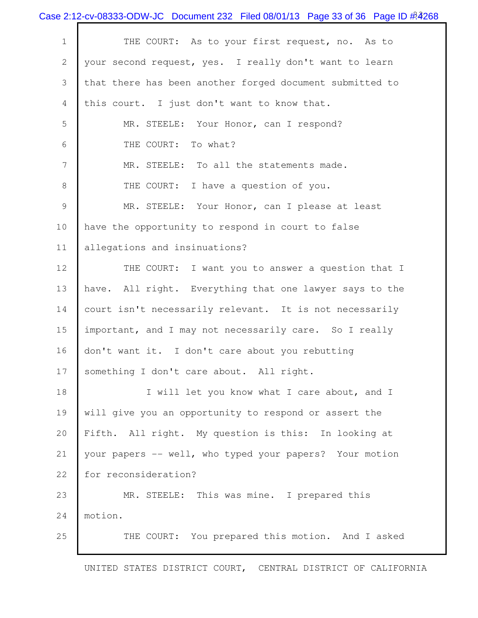|              | Case 2:12-cv-08333-ODW-JC Document 232 Filed 08/01/13 Page 33 of 36 Page ID $\frac{\#2}{6}$ 268 |
|--------------|-------------------------------------------------------------------------------------------------|
| $\mathbf 1$  | THE COURT: As to your first request, no. As to                                                  |
| $\mathbf{2}$ | your second request, yes. I really don't want to learn                                          |
| 3            | that there has been another forged document submitted to                                        |
| 4            | this court. I just don't want to know that.                                                     |
| 5            | MR. STEELE: Your Honor, can I respond?                                                          |
| 6            | THE COURT: To what?                                                                             |
| 7            | MR. STEELE: To all the statements made.                                                         |
| 8            | THE COURT: I have a question of you.                                                            |
| 9            | MR. STEELE: Your Honor, can I please at least                                                   |
| 10           | have the opportunity to respond in court to false                                               |
| 11           | allegations and insinuations?                                                                   |
| 12           | THE COURT: I want you to answer a question that I                                               |
| 13           | have. All right. Everything that one lawyer says to the                                         |
| 14           | court isn't necessarily relevant. It is not necessarily                                         |
| 15           | important, and I may not necessarily care. So I really                                          |
| 16           | don't want it. I don't care about you rebutting                                                 |
| 17           | something I don't care about. All right.                                                        |
| 18           | I will let you know what I care about, and I                                                    |
| 19           | will give you an opportunity to respond or assert the                                           |
| 20           | Fifth. All right. My question is this: In looking at                                            |
| 21           | your papers -- well, who typed your papers? Your motion                                         |
| 22           | for reconsideration?                                                                            |
| 23           | MR. STEELE: This was mine. I prepared this                                                      |
| 24           | motion.                                                                                         |
| 25           | THE COURT: You prepared this motion. And I asked                                                |
|              |                                                                                                 |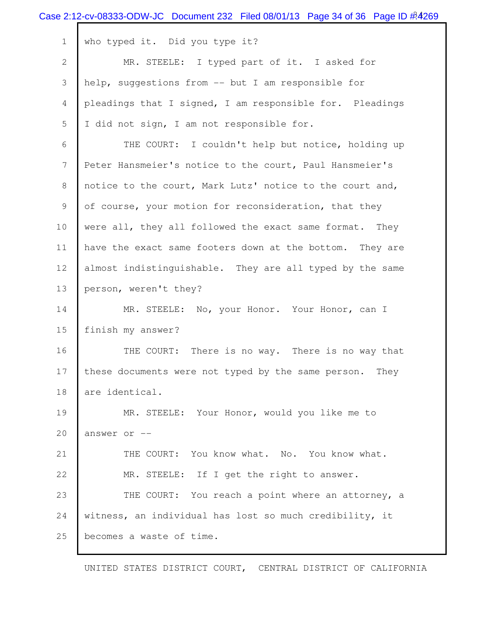|                | Case 2:12-cv-08333-ODW-JC Document 232 Filed 08/01/13 Page 34 of 36 Page ID $\#4269$ |
|----------------|--------------------------------------------------------------------------------------|
| $\mathbf 1$    | who typed it. Did you type it?                                                       |
| $\overline{2}$ | MR. STEELE: I typed part of it. I asked for                                          |
| 3              | help, suggestions from -- but I am responsible for                                   |
| 4              | pleadings that I signed, I am responsible for. Pleadings                             |
| 5              | I did not sign, I am not responsible for.                                            |
| 6              | THE COURT: I couldn't help but notice, holding up                                    |
| 7              | Peter Hansmeier's notice to the court, Paul Hansmeier's                              |
| 8              | notice to the court, Mark Lutz' notice to the court and,                             |
| 9              | of course, your motion for reconsideration, that they                                |
| 10             | were all, they all followed the exact same format. They                              |
| 11             | have the exact same footers down at the bottom. They are                             |
| 12             | almost indistinguishable. They are all typed by the same                             |
| 13             | person, weren't they?                                                                |
| 14             | MR. STEELE: No, your Honor. Your Honor, can I                                        |
| 15             | finish my answer?                                                                    |
| 16             | THE COURT: There is no way. There is no way that                                     |
| 17             | these documents were not typed by the same person. They                              |
| 18             | are identical.                                                                       |
| 19             | MR. STEELE: Your Honor, would you like me to                                         |
| 20             | answer or --                                                                         |
| 21             | THE COURT: You know what. No. You know what.                                         |
| 22             | MR. STEELE: If I get the right to answer.                                            |
| 23             | THE COURT: You reach a point where an attorney, a                                    |
| 24             | witness, an individual has lost so much credibility, it                              |
| 25             | becomes a waste of time.                                                             |
|                |                                                                                      |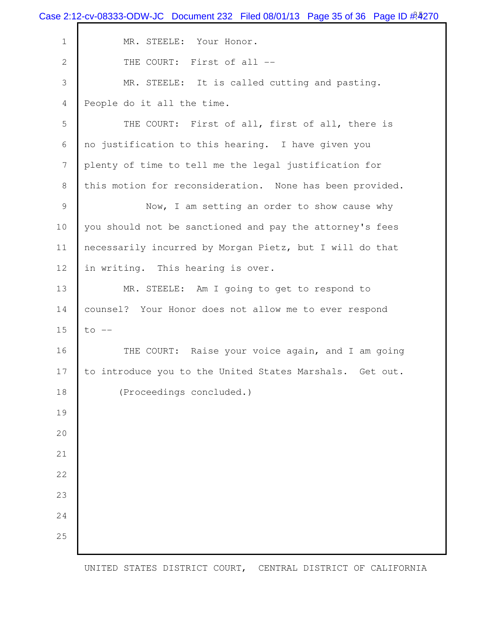|                | Case 2:12-cv-08333-ODW-JC Document 232 Filed 08/01/13 Page 35 of 36 Page ID $\frac{\#270}{ }$ |
|----------------|-----------------------------------------------------------------------------------------------|
| $\mathbf 1$    | MR. STEELE: Your Honor.                                                                       |
| $\overline{2}$ | THE COURT: First of all --                                                                    |
| 3              | MR. STEELE: It is called cutting and pasting.                                                 |
| 4              | People do it all the time.                                                                    |
| 5              | THE COURT: First of all, first of all, there is                                               |
| 6              | no justification to this hearing. I have given you                                            |
| 7              | plenty of time to tell me the legal justification for                                         |
| 8              | this motion for reconsideration. None has been provided.                                      |
| 9              | Now, I am setting an order to show cause why                                                  |
| 10             | you should not be sanctioned and pay the attorney's fees                                      |
| 11             | necessarily incurred by Morgan Pietz, but I will do that                                      |
| 12             | in writing. This hearing is over.                                                             |
| 13             | MR. STEELE: Am I going to get to respond to                                                   |
| 14             | counsel? Your Honor does not allow me to ever respond                                         |
| 15             | $to$ $--$                                                                                     |
| 16             | THE COURT: Raise your voice again, and I am going                                             |
| 17             | to introduce you to the United States Marshals. Get out.                                      |
| 18             | (Proceedings concluded.)                                                                      |
| 19             |                                                                                               |
| 20             |                                                                                               |
| 21             |                                                                                               |
| 22             |                                                                                               |
| 23             |                                                                                               |
| 24             |                                                                                               |
| 25             |                                                                                               |
|                |                                                                                               |